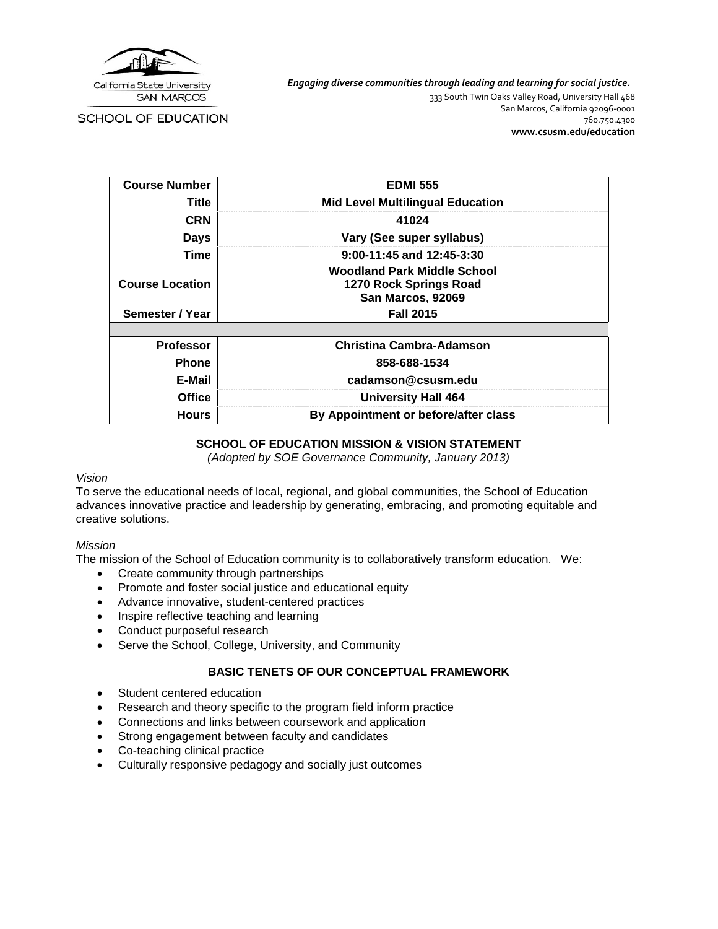

*Engaging diverse communities through leading and learning for social justice.*

SCHOOL OF EDUCATION

333 South Twin Oaks Valley Road, University Hall 468 San Marcos, California 92096-0001 760.750.4300 **[www.csusm.edu/education](http://www.csusm.edu/education)**

| <b>Course Number</b>   | <b>EDMI 555</b>                                                                   |  |
|------------------------|-----------------------------------------------------------------------------------|--|
| Title                  | <b>Mid Level Multilingual Education</b>                                           |  |
| <b>CRN</b>             | 41024                                                                             |  |
| Days                   | Vary (See super syllabus)                                                         |  |
| Time                   | $9:00-11:45$ and $12:45-3:30$                                                     |  |
| <b>Course Location</b> | <b>Woodland Park Middle School</b><br>1270 Rock Springs Road<br>San Marcos, 92069 |  |
| Semester / Year        | <b>Fall 2015</b>                                                                  |  |
|                        |                                                                                   |  |
| <b>Professor</b>       | Christina Cambra-Adamson                                                          |  |
| <b>Phone</b>           | 858-688-1534                                                                      |  |
| E-Mail                 | cadamson@csusm.edu                                                                |  |
| <b>Office</b>          | <b>University Hall 464</b>                                                        |  |
| <b>Hours</b>           | By Appointment or before/after class                                              |  |

#### **SCHOOL OF EDUCATION MISSION & VISION STATEMENT**

*(Adopted by SOE Governance Community, January 2013)*

#### *Vision*

To serve the educational needs of local, regional, and global communities, the School of Education advances innovative practice and leadership by generating, embracing, and promoting equitable and creative solutions.

#### *Mission*

The mission of the School of Education community is to collaboratively transform education. We:

- Create community through partnerships
- Promote and foster social justice and educational equity
- Advance innovative, student-centered practices
- Inspire reflective teaching and learning
- Conduct purposeful research
- Serve the School, College, University, and Community

#### **BASIC TENETS OF OUR CONCEPTUAL FRAMEWORK**

- Student centered education
- Research and theory specific to the program field inform practice
- Connections and links between coursework and application
- Strong engagement between faculty and candidates
- Co-teaching clinical practice
- Culturally responsive pedagogy and socially just outcomes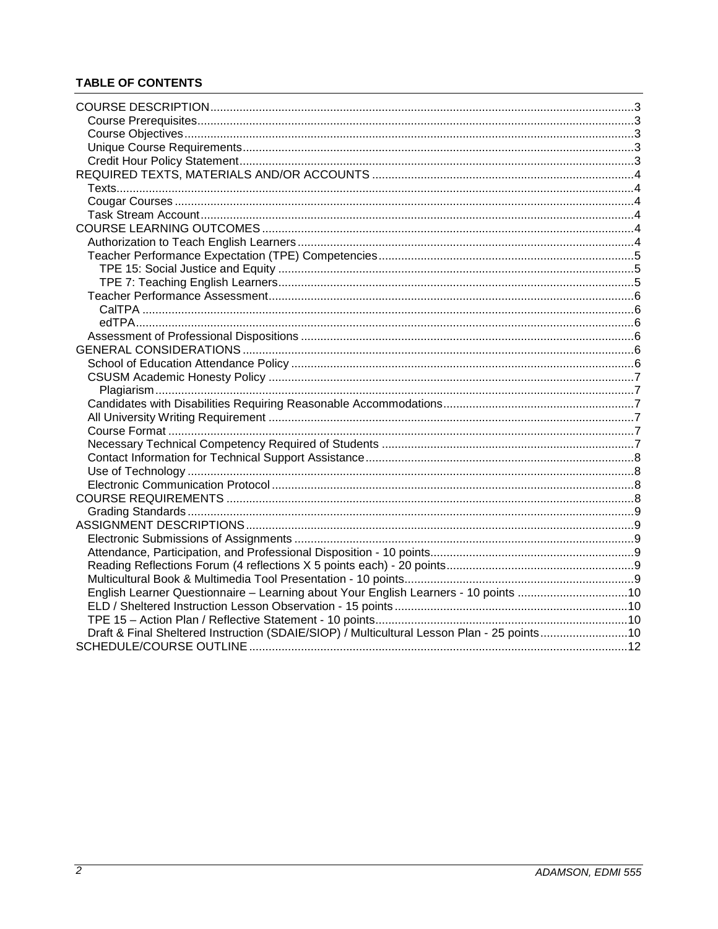## **TABLE OF CONTENTS**

| English Learner Questionnaire - Learning about Your English Learners - 10 points 10        |  |
|--------------------------------------------------------------------------------------------|--|
|                                                                                            |  |
|                                                                                            |  |
| Draft & Final Sheltered Instruction (SDAIE/SIOP) / Multicultural Lesson Plan - 25 points10 |  |
|                                                                                            |  |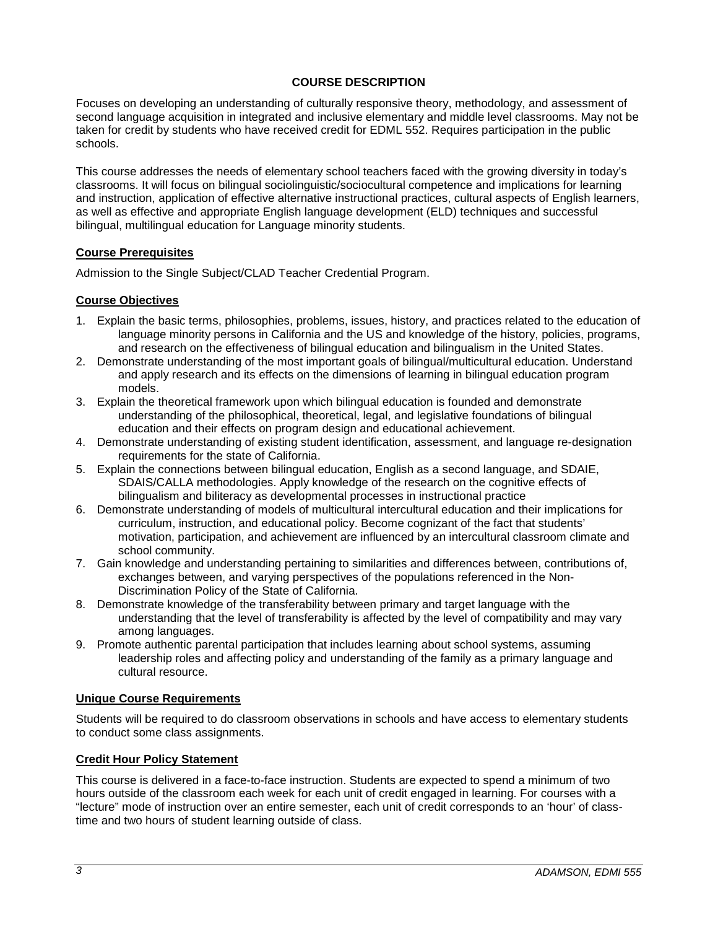### **COURSE DESCRIPTION**

<span id="page-2-0"></span>Focuses on developing an understanding of culturally responsive theory, methodology, and assessment of second language acquisition in integrated and inclusive elementary and middle level classrooms. May not be taken for credit by students who have received credit for EDML 552. Requires participation in the public schools.

This course addresses the needs of elementary school teachers faced with the growing diversity in today's classrooms. It will focus on bilingual sociolinguistic/sociocultural competence and implications for learning and instruction, application of effective alternative instructional practices, cultural aspects of English learners, as well as effective and appropriate English language development (ELD) techniques and successful bilingual, multilingual education for Language minority students.

#### <span id="page-2-1"></span>**Course Prerequisites**

Admission to the Single Subject/CLAD Teacher Credential Program.

### <span id="page-2-2"></span>**Course Objectives**

- 1. Explain the basic terms, philosophies, problems, issues, history, and practices related to the education of language minority persons in California and the US and knowledge of the history, policies, programs, and research on the effectiveness of bilingual education and bilingualism in the United States.
- 2. Demonstrate understanding of the most important goals of bilingual/multicultural education. Understand and apply research and its effects on the dimensions of learning in bilingual education program models.
- 3. Explain the theoretical framework upon which bilingual education is founded and demonstrate understanding of the philosophical, theoretical, legal, and legislative foundations of bilingual education and their effects on program design and educational achievement.
- 4. Demonstrate understanding of existing student identification, assessment, and language re-designation requirements for the state of California.
- 5. Explain the connections between bilingual education, English as a second language, and SDAIE, SDAIS/CALLA methodologies. Apply knowledge of the research on the cognitive effects of bilingualism and biliteracy as developmental processes in instructional practice
- 6. Demonstrate understanding of models of multicultural intercultural education and their implications for curriculum, instruction, and educational policy. Become cognizant of the fact that students' motivation, participation, and achievement are influenced by an intercultural classroom climate and school community.
- 7. Gain knowledge and understanding pertaining to similarities and differences between, contributions of, exchanges between, and varying perspectives of the populations referenced in the Non-Discrimination Policy of the State of California.
- 8. Demonstrate knowledge of the transferability between primary and target language with the understanding that the level of transferability is affected by the level of compatibility and may vary among languages.
- 9. Promote authentic parental participation that includes learning about school systems, assuming leadership roles and affecting policy and understanding of the family as a primary language and cultural resource.

#### <span id="page-2-3"></span>**Unique Course Requirements**

Students will be required to do classroom observations in schools and have access to elementary students to conduct some class assignments.

#### <span id="page-2-4"></span>**Credit Hour Policy Statement**

This course is delivered in a face-to-face instruction. Students are expected to spend a minimum of two hours outside of the classroom each week for each unit of credit engaged in learning. For courses with a "lecture" mode of instruction over an entire semester, each unit of credit corresponds to an 'hour' of classtime and two hours of student learning outside of class.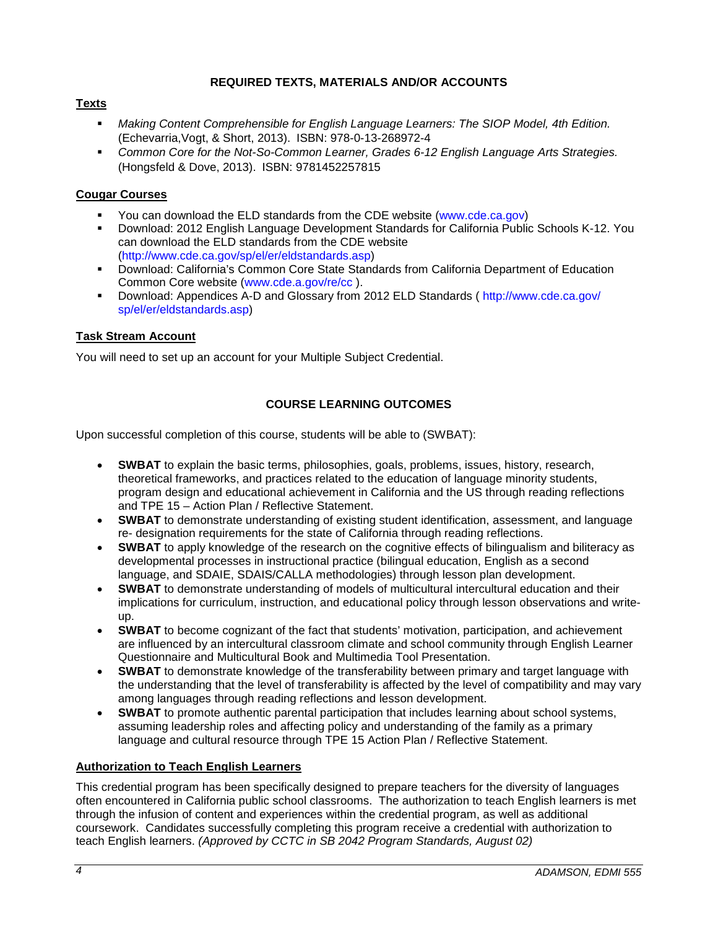### **REQUIRED TEXTS, MATERIALS AND/OR ACCOUNTS**

### <span id="page-3-1"></span><span id="page-3-0"></span>**Texts**

- *Making Content Comprehensible for English Language Learners: The SIOP Model, 4th Edition.*  (Echevarria,Vogt, & Short, 2013). ISBN: 978-0-13-268972-4
- **Common Core for the Not-So-Common Learner, Grades 6-12 English Language Arts Strategies.** (Hongsfeld & Dove, 2013). ISBN: 9781452257815

### <span id="page-3-2"></span>**Cougar Courses**

- You can download the ELD standards from the CDE website (www.cde.ca.gov)<br>Download: 2012 English Language Development Standards for California Public
- Download: 2012 English Language Development Standards for California Public Schools K-12. You can download the ELD standards from the CDE website (http://www.cde.ca.gov/sp/el/er/eldstandards.asp)
- Download: California's Common Core State Standards from California Department of Education Common Core website (www.cde.a.gov/re/cc ).
- Download: Appendices A-D and Glossary from 2012 ELD Standards ( http://www.cde.ca.gov/ sp/el/er/eldstandards.asp)

### <span id="page-3-3"></span>**Task Stream Account**

You will need to set up an account for your Multiple Subject Credential.

### **COURSE LEARNING OUTCOMES**

<span id="page-3-4"></span>Upon successful completion of this course, students will be able to (SWBAT):

- **SWBAT** to explain the basic terms, philosophies, goals, problems, issues, history, research, theoretical frameworks, and practices related to the education of language minority students, program design and educational achievement in California and the US through reading reflections and TPE 15 – Action Plan / Reflective Statement.
- **SWBAT** to demonstrate understanding of existing student identification, assessment, and language re- designation requirements for the state of California through reading reflections.
- **SWBAT** to apply knowledge of the research on the cognitive effects of bilingualism and biliteracy as developmental processes in instructional practice (bilingual education, English as a second language, and SDAIE, SDAIS/CALLA methodologies) through lesson plan development.
- **SWBAT** to demonstrate understanding of models of multicultural intercultural education and their implications for curriculum, instruction, and educational policy through lesson observations and writeup.
- **SWBAT** to become cognizant of the fact that students' motivation, participation, and achievement are influenced by an intercultural classroom climate and school community through English Learner Questionnaire and Multicultural Book and Multimedia Tool Presentation.
- **SWBAT** to demonstrate knowledge of the transferability between primary and target language with the understanding that the level of transferability is affected by the level of compatibility and may vary among languages through reading reflections and lesson development.
- **SWBAT** to promote authentic parental participation that includes learning about school systems, assuming leadership roles and affecting policy and understanding of the family as a primary language and cultural resource through TPE 15 Action Plan / Reflective Statement.

#### <span id="page-3-5"></span>**Authorization to Teach English Learners**

This credential program has been specifically designed to prepare teachers for the diversity of languages often encountered in California public school classrooms. The authorization to teach English learners is met through the infusion of content and experiences within the credential program, as well as additional coursework. Candidates successfully completing this program receive a credential with authorization to teach English learners. *(Approved by CCTC in SB 2042 Program Standards, August 02)*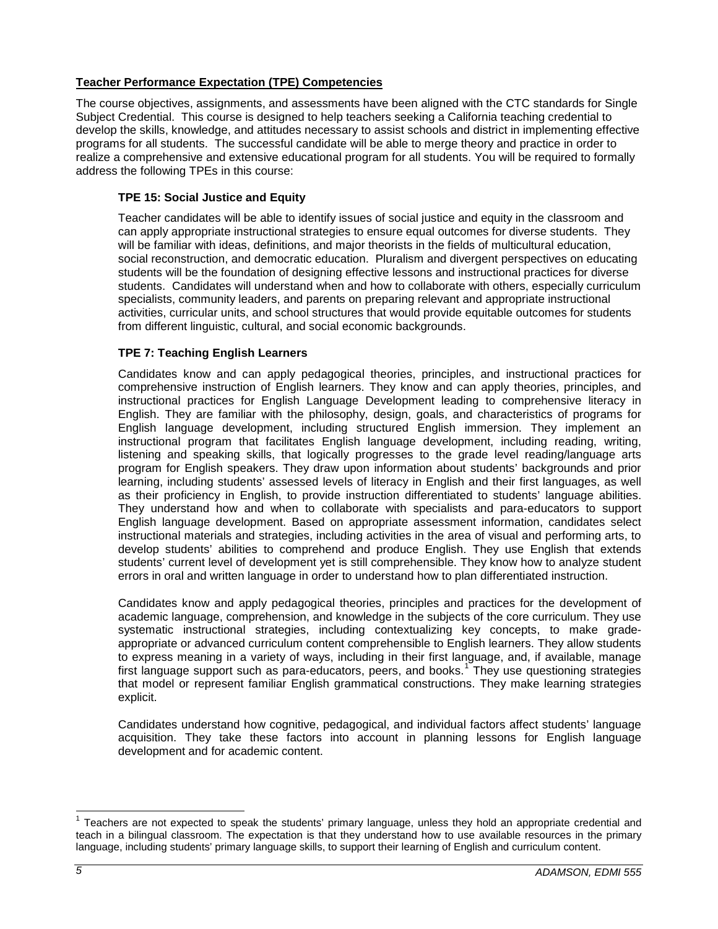### <span id="page-4-0"></span>**Teacher Performance Expectation (TPE) Competencies**

The course objectives, assignments, and assessments have been aligned with the CTC standards for Single Subject Credential. This course is designed to help teachers seeking a California teaching credential to develop the skills, knowledge, and attitudes necessary to assist schools and district in implementing effective programs for all students. The successful candidate will be able to merge theory and practice in order to realize a comprehensive and extensive educational program for all students. You will be required to formally address the following TPEs in this course:

### <span id="page-4-1"></span>**TPE 15: Social Justice and Equity**

Teacher candidates will be able to identify issues of social justice and equity in the classroom and can apply appropriate instructional strategies to ensure equal outcomes for diverse students. They will be familiar with ideas, definitions, and major theorists in the fields of multicultural education, social reconstruction, and democratic education. Pluralism and divergent perspectives on educating students will be the foundation of designing effective lessons and instructional practices for diverse students. Candidates will understand when and how to collaborate with others, especially curriculum specialists, community leaders, and parents on preparing relevant and appropriate instructional activities, curricular units, and school structures that would provide equitable outcomes for students from different linguistic, cultural, and social economic backgrounds.

### <span id="page-4-2"></span>**TPE 7: Teaching English Learners**

Candidates know and can apply pedagogical theories, principles, and instructional practices for comprehensive instruction of English learners. They know and can apply theories, principles, and instructional practices for English Language Development leading to comprehensive literacy in English. They are familiar with the philosophy, design, goals, and characteristics of programs for English language development, including structured English immersion. They implement an instructional program that facilitates English language development, including reading, writing, listening and speaking skills, that logically progresses to the grade level reading/language arts program for English speakers. They draw upon information about students' backgrounds and prior learning, including students' assessed levels of literacy in English and their first languages, as well as their proficiency in English, to provide instruction differentiated to students' language abilities. They understand how and when to collaborate with specialists and para-educators to support English language development. Based on appropriate assessment information, candidates select instructional materials and strategies, including activities in the area of visual and performing arts, to develop students' abilities to comprehend and produce English. They use English that extends students' current level of development yet is still comprehensible. They know how to analyze student errors in oral and written language in order to understand how to plan differentiated instruction.

Candidates know and apply pedagogical theories, principles and practices for the development of academic language, comprehension, and knowledge in the subjects of the core curriculum. They use systematic instructional strategies, including contextualizing key concepts, to make gradeappropriate or advanced curriculum content comprehensible to English learners. They allow students to express meaning in a variety of ways, including in their first language, and, if available, manage first language support such as para-educators, peers, and books.<sup>[1](#page-4-3)</sup> They use questioning strategies that model or represent familiar English grammatical constructions. They make learning strategies explicit.

Candidates understand how cognitive, pedagogical, and individual factors affect students' language acquisition. They take these factors into account in planning lessons for English language development and for academic content.

<span id="page-4-3"></span> $1$  Teachers are not expected to speak the students' primary language, unless they hold an appropriate credential and teach in a bilingual classroom. The expectation is that they understand how to use available resources in the primary language, including students' primary language skills, to support their learning of English and curriculum content.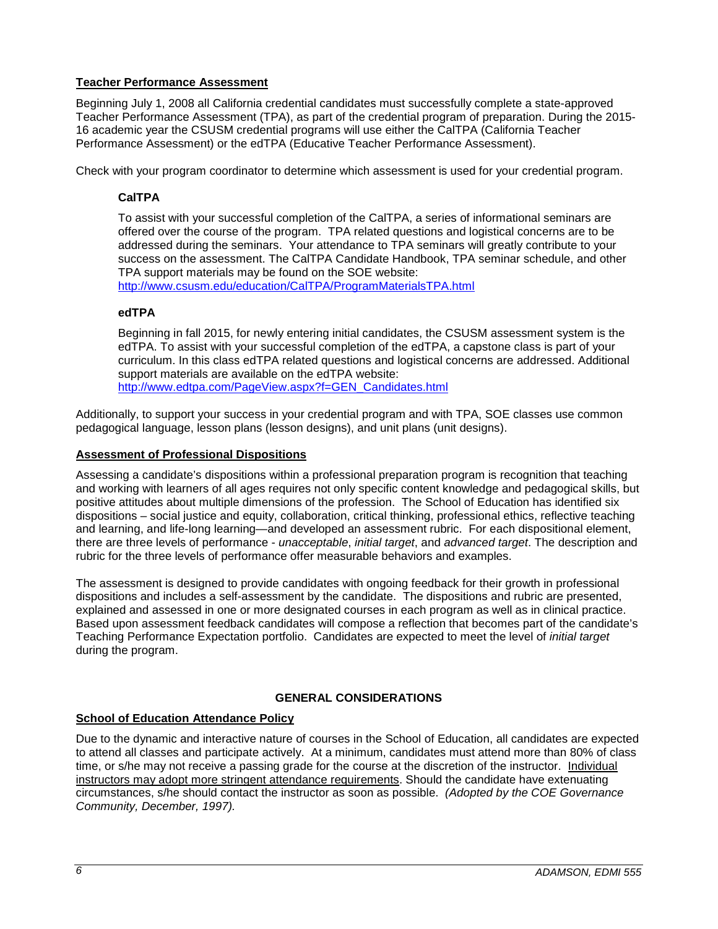### <span id="page-5-0"></span>**Teacher Performance Assessment**

Beginning July 1, 2008 all California credential candidates must successfully complete a state-approved Teacher Performance Assessment (TPA), as part of the credential program of preparation. During the 2015- 16 academic year the CSUSM credential programs will use either the CalTPA (California Teacher Performance Assessment) or the edTPA (Educative Teacher Performance Assessment).

<span id="page-5-1"></span>Check with your program coordinator to determine which assessment is used for your credential program.

## **CalTPA**

To assist with your successful completion of the CalTPA, a series of informational seminars are offered over the course of the program. TPA related questions and logistical concerns are to be addressed during the seminars. Your attendance to TPA seminars will greatly contribute to your success on the assessment. The CalTPA Candidate Handbook, TPA seminar schedule, and other TPA support materials may be found on the SOE website:

<http://www.csusm.edu/education/CalTPA/ProgramMaterialsTPA.html>

### <span id="page-5-2"></span>**edTPA**

Beginning in fall 2015, for newly entering initial candidates, the CSUSM assessment system is the edTPA. To assist with your successful completion of the edTPA, a capstone class is part of your curriculum. In this class edTPA related questions and logistical concerns are addressed. Additional support materials are available on the edTPA website: [http://www.edtpa.com/PageView.aspx?f=GEN\\_Candidates.html](http://www.edtpa.com/PageView.aspx?f=GEN_Candidates.html)

Additionally, to support your success in your credential program and with TPA, SOE classes use common pedagogical language, lesson plans (lesson designs), and unit plans (unit designs).

### <span id="page-5-3"></span>**Assessment of Professional Dispositions**

Assessing a candidate's dispositions within a professional preparation program is recognition that teaching and working with learners of all ages requires not only specific content knowledge and pedagogical skills, but positive attitudes about multiple dimensions of the profession. The School of Education has identified six dispositions – social justice and equity, collaboration, critical thinking, professional ethics, reflective teaching and learning, and life-long learning—and developed an assessment rubric. For each dispositional element, there are three levels of performance - *unacceptable*, *initial target*, and *advanced target*. The description and rubric for the three levels of performance offer measurable behaviors and examples.

The assessment is designed to provide candidates with ongoing feedback for their growth in professional dispositions and includes a self-assessment by the candidate. The dispositions and rubric are presented, explained and assessed in one or more designated courses in each program as well as in clinical practice. Based upon assessment feedback candidates will compose a reflection that becomes part of the candidate's Teaching Performance Expectation portfolio. Candidates are expected to meet the level of *initial target* during the program.

## **GENERAL CONSIDERATIONS**

### <span id="page-5-5"></span><span id="page-5-4"></span>**School of Education Attendance Policy**

Due to the dynamic and interactive nature of courses in the School of Education, all candidates are expected to attend all classes and participate actively. At a minimum, candidates must attend more than 80% of class time, or s/he may not receive a passing grade for the course at the discretion of the instructor. Individual instructors may adopt more stringent attendance requirements. Should the candidate have extenuating circumstances, s/he should contact the instructor as soon as possible. *(Adopted by the COE Governance Community, December, 1997).*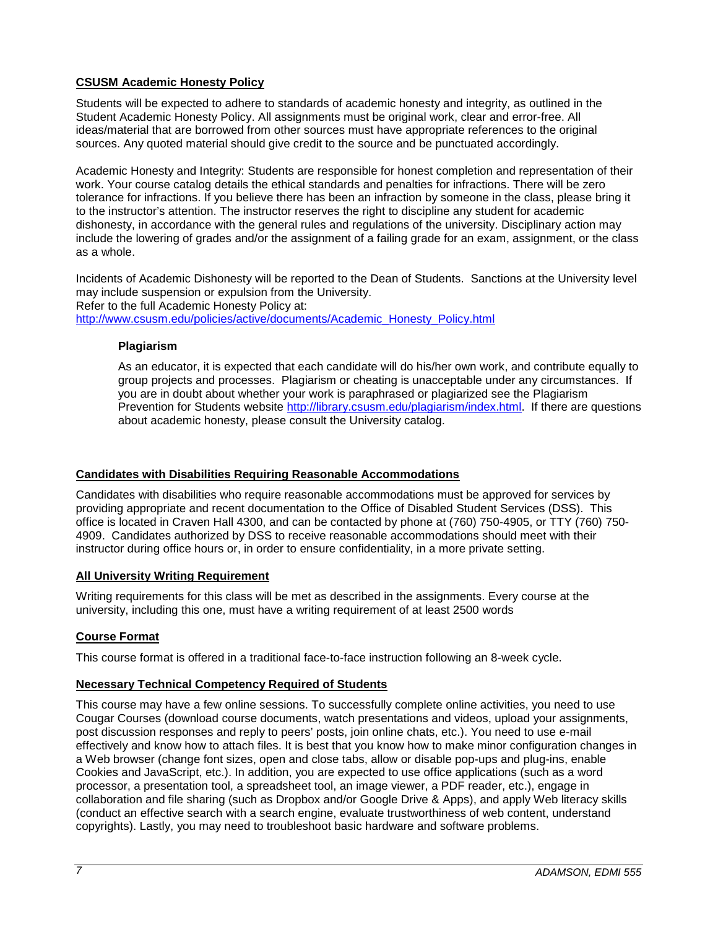## <span id="page-6-0"></span>**CSUSM Academic Honesty Policy**

Students will be expected to adhere to standards of academic honesty and integrity, as outlined in the Student Academic Honesty Policy. All assignments must be original work, clear and error-free. All ideas/material that are borrowed from other sources must have appropriate references to the original sources. Any quoted material should give credit to the source and be punctuated accordingly.

Academic Honesty and Integrity: Students are responsible for honest completion and representation of their work. Your course catalog details the ethical standards and penalties for infractions. There will be zero tolerance for infractions. If you believe there has been an infraction by someone in the class, please bring it to the instructor's attention. The instructor reserves the right to discipline any student for academic dishonesty, in accordance with the general rules and regulations of the university. Disciplinary action may include the lowering of grades and/or the assignment of a failing grade for an exam, assignment, or the class as a whole.

Incidents of Academic Dishonesty will be reported to the Dean of Students. Sanctions at the University level may include suspension or expulsion from the University. Refer to the full Academic Honesty Policy at: [http://www.csusm.edu/policies/active/documents/Academic\\_Honesty\\_Policy.html](http://www.csusm.edu/policies/active/documents/Academic_Honesty_Policy.html)

### <span id="page-6-1"></span>**Plagiarism**

As an educator, it is expected that each candidate will do his/her own work, and contribute equally to group projects and processes. Plagiarism or cheating is unacceptable under any circumstances. If you are in doubt about whether your work is paraphrased or plagiarized see the Plagiarism Prevention for Students website [http://library.csusm.edu/plagiarism/index.html.](http://library.csusm.edu/plagiarism/index.html) If there are questions about academic honesty, please consult the University catalog.

### <span id="page-6-2"></span>**Candidates with Disabilities Requiring Reasonable Accommodations**

Candidates with disabilities who require reasonable accommodations must be approved for services by providing appropriate and recent documentation to the Office of Disabled Student Services (DSS). This office is located in Craven Hall 4300, and can be contacted by phone at (760) 750-4905, or TTY (760) 750- 4909. Candidates authorized by DSS to receive reasonable accommodations should meet with their instructor during office hours or, in order to ensure confidentiality, in a more private setting.

### <span id="page-6-3"></span>**All University Writing Requirement**

Writing requirements for this class will be met as described in the assignments. Every course at the university, including this one, must have a writing requirement of at least 2500 words

### <span id="page-6-4"></span>**Course Format**

This course format is offered in a traditional face-to-face instruction following an 8-week cycle.

#### <span id="page-6-5"></span>**Necessary Technical Competency Required of Students**

This course may have a few online sessions. To successfully complete online activities, you need to use Cougar Courses (download course documents, watch presentations and videos, upload your assignments, post discussion responses and reply to peers' posts, join online chats, etc.). You need to use e-mail effectively and know how to attach files. It is best that you know how to make minor configuration changes in a Web browser (change font sizes, open and close tabs, allow or disable pop-ups and plug-ins, enable Cookies and JavaScript, etc.). In addition, you are expected to use office applications (such as a word processor, a presentation tool, a spreadsheet tool, an image viewer, a PDF reader, etc.), engage in collaboration and file sharing (such as Dropbox and/or Google Drive & Apps), and apply Web literacy skills (conduct an effective search with a search engine, evaluate trustworthiness of web content, understand copyrights). Lastly, you may need to troubleshoot basic hardware and software problems.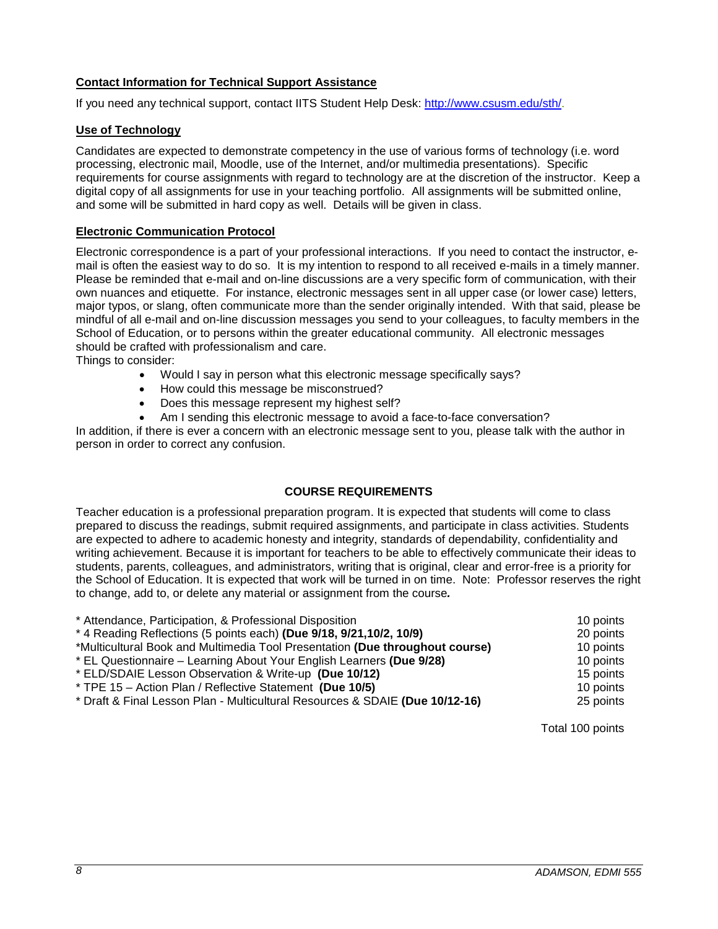### <span id="page-7-0"></span>**Contact Information for Technical Support Assistance**

If you need any technical support, contact IITS Student Help Desk: [http://www.csusm.edu/sth/.](http://www.csusm.edu/sth/)

### <span id="page-7-1"></span>**Use of Technology**

Candidates are expected to demonstrate competency in the use of various forms of technology (i.e. word processing, electronic mail, Moodle, use of the Internet, and/or multimedia presentations). Specific requirements for course assignments with regard to technology are at the discretion of the instructor. Keep a digital copy of all assignments for use in your teaching portfolio. All assignments will be submitted online, and some will be submitted in hard copy as well. Details will be given in class.

### <span id="page-7-2"></span>**Electronic Communication Protocol**

Electronic correspondence is a part of your professional interactions. If you need to contact the instructor, email is often the easiest way to do so. It is my intention to respond to all received e-mails in a timely manner. Please be reminded that e-mail and on-line discussions are a very specific form of communication, with their own nuances and etiquette. For instance, electronic messages sent in all upper case (or lower case) letters, major typos, or slang, often communicate more than the sender originally intended. With that said, please be mindful of all e-mail and on-line discussion messages you send to your colleagues, to faculty members in the School of Education, or to persons within the greater educational community. All electronic messages should be crafted with professionalism and care.

Things to consider:

- Would I say in person what this electronic message specifically says?
- How could this message be misconstrued?
- Does this message represent my highest self?
- Am I sending this electronic message to avoid a face-to-face conversation?

In addition, if there is ever a concern with an electronic message sent to you, please talk with the author in person in order to correct any confusion.

### **COURSE REQUIREMENTS**

<span id="page-7-3"></span>Teacher education is a professional preparation program. It is expected that students will come to class prepared to discuss the readings, submit required assignments, and participate in class activities. Students are expected to adhere to academic honesty and integrity, standards of dependability, confidentiality and writing achievement. Because it is important for teachers to be able to effectively communicate their ideas to students, parents, colleagues, and administrators, writing that is original, clear and error-free is a priority for the School of Education. It is expected that work will be turned in on time. Note: Professor reserves the right to change, add to, or delete any material or assignment from the course*.*

| * Attendance, Participation, & Professional Disposition                      | 10 points |
|------------------------------------------------------------------------------|-----------|
| * 4 Reading Reflections (5 points each) (Due 9/18, 9/21, 10/2, 10/9)         | 20 points |
| *Multicultural Book and Multimedia Tool Presentation (Due throughout course) | 10 points |
| * EL Questionnaire – Learning About Your English Learners (Due 9/28)         | 10 points |
| * ELD/SDAIE Lesson Observation & Write-up (Due 10/12)                        | 15 points |
| * TPE 15 - Action Plan / Reflective Statement (Due 10/5)                     | 10 points |
| * Draft & Final Lesson Plan - Multicultural Resources & SDAIE (Due 10/12-16) | 25 points |

Total 100 points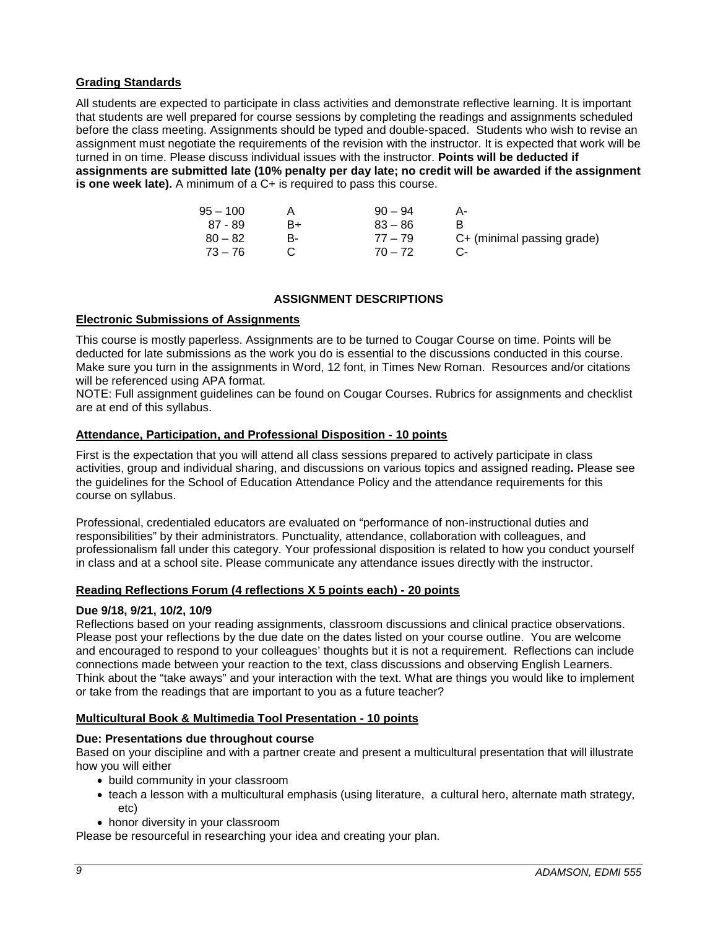### <span id="page-8-0"></span>**Grading Standards**

All students are expected to participate in class activities and demonstrate reflective learning. It is important that students are well prepared for course sessions by completing the readings and assignments scheduled before the class meeting. Assignments should be typed and double-spaced. Students who wish to revise an assignment must negotiate the requirements of the revision with the instructor. It is expected that work will be turned in on time. Please discuss individual issues with the instructor. **Points will be deducted if assignments are submitted late (10% penalty per day late; no credit will be awarded if the assignment is one week late).** A minimum of a C+ is required to pass this course.

| $95 - 100$ |    | $90 - 94$ |                            |
|------------|----|-----------|----------------------------|
| 87 - 89    | B+ | $83 - 86$ |                            |
| $80 - 82$  | R- | $77 - 79$ | C+ (minimal passing grade) |
| $73 - 76$  |    | $70 - 72$ |                            |

### **ASSIGNMENT DESCRIPTIONS**

### <span id="page-8-2"></span><span id="page-8-1"></span>**Electronic Submissions of Assignments**

This course is mostly paperless. Assignments are to be turned to Cougar Course on time. Points will be deducted for late submissions as the work you do is essential to the discussions conducted in this course. Make sure you turn in the assignments in Word, 12 font, in Times New Roman. Resources and/or citations will be referenced using APA format.

NOTE: Full assignment guidelines can be found on Cougar Courses. Rubrics for assignments and checklist are at end of this syllabus.

#### <span id="page-8-3"></span>**Attendance, Participation, and Professional Disposition - 10 points**

First is the expectation that you will attend all class sessions prepared to actively participate in class activities, group and individual sharing, and discussions on various topics and assigned reading**.** Please see the guidelines for the School of Education Attendance Policy and the attendance requirements for this course on syllabus.

Professional, credentialed educators are evaluated on "performance of non-instructional duties and responsibilities" by their administrators. Punctuality, attendance, collaboration with colleagues, and professionalism fall under this category. Your professional disposition is related to how you conduct yourself in class and at a school site. Please communicate any attendance issues directly with the instructor.

#### <span id="page-8-4"></span>**Reading Reflections Forum (4 reflections X 5 points each) - 20 points**

#### **Due 9/18, 9/21, 10/2, 10/9**

Reflections based on your reading assignments, classroom discussions and clinical practice observations. Please post your reflections by the due date on the dates listed on your course outline. You are welcome and encouraged to respond to your colleagues' thoughts but it is not a requirement. Reflections can include connections made between your reaction to the text, class discussions and observing English Learners. Think about the "take aways" and your interaction with the text. What are things you would like to implement or take from the readings that are important to you as a future teacher?

#### <span id="page-8-5"></span>**Multicultural Book & Multimedia Tool Presentation - 10 points**

#### **Due: Presentations due throughout course**

Based on your discipline and with a partner create and present a multicultural presentation that will illustrate how you will either

- build community in your classroom
- teach a lesson with a multicultural emphasis (using literature, a cultural hero, alternate math strategy, etc)
- honor diversity in your classroom

Please be resourceful in researching your idea and creating your plan.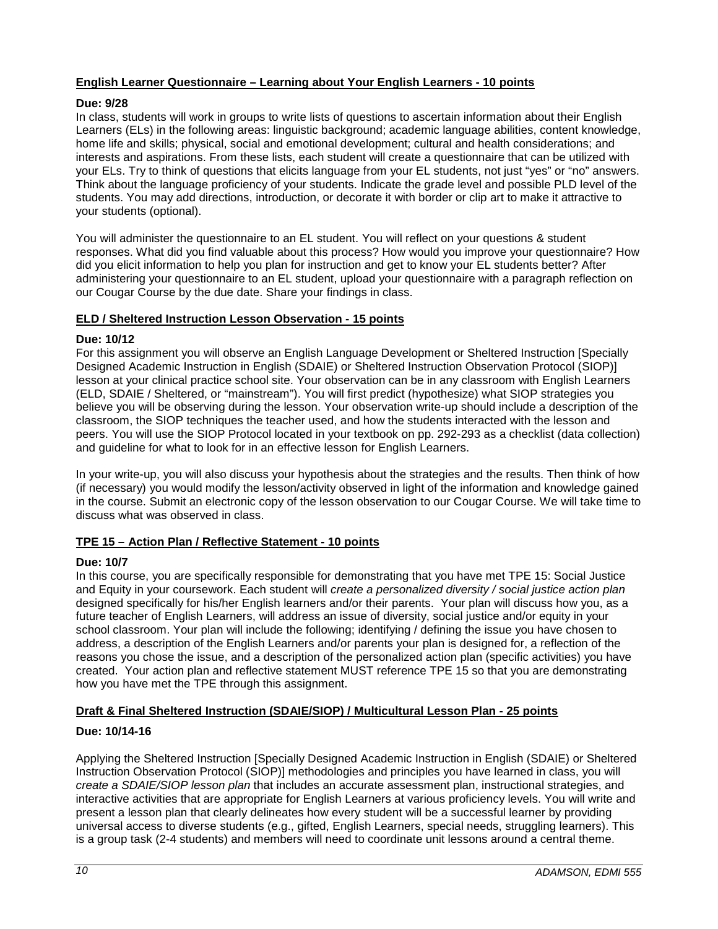### <span id="page-9-0"></span>**English Learner Questionnaire – Learning about Your English Learners - 10 points**

### **Due: 9/28**

In class, students will work in groups to write lists of questions to ascertain information about their English Learners (ELs) in the following areas: linguistic background; academic language abilities, content knowledge, home life and skills; physical, social and emotional development; cultural and health considerations; and interests and aspirations. From these lists, each student will create a questionnaire that can be utilized with your ELs. Try to think of questions that elicits language from your EL students, not just "yes" or "no" answers. Think about the language proficiency of your students. Indicate the grade level and possible PLD level of the students. You may add directions, introduction, or decorate it with border or clip art to make it attractive to your students (optional).

You will administer the questionnaire to an EL student. You will reflect on your questions & student responses. What did you find valuable about this process? How would you improve your questionnaire? How did you elicit information to help you plan for instruction and get to know your EL students better? After administering your questionnaire to an EL student, upload your questionnaire with a paragraph reflection on our Cougar Course by the due date. Share your findings in class.

### <span id="page-9-1"></span>**ELD / Sheltered Instruction Lesson Observation - 15 points**

#### **Due: 10/12**

For this assignment you will observe an English Language Development or Sheltered Instruction [Specially Designed Academic Instruction in English (SDAIE) or Sheltered Instruction Observation Protocol (SIOP)] lesson at your clinical practice school site. Your observation can be in any classroom with English Learners (ELD, SDAIE / Sheltered, or "mainstream"). You will first predict (hypothesize) what SIOP strategies you believe you will be observing during the lesson. Your observation write-up should include a description of the classroom, the SIOP techniques the teacher used, and how the students interacted with the lesson and peers. You will use the SIOP Protocol located in your textbook on pp. 292-293 as a checklist (data collection) and guideline for what to look for in an effective lesson for English Learners.

In your write-up, you will also discuss your hypothesis about the strategies and the results. Then think of how (if necessary) you would modify the lesson/activity observed in light of the information and knowledge gained in the course. Submit an electronic copy of the lesson observation to our Cougar Course. We will take time to discuss what was observed in class.

### <span id="page-9-2"></span>**TPE 15 – Action Plan / Reflective Statement - 10 points**

#### **Due: 10/7**

In this course, you are specifically responsible for demonstrating that you have met TPE 15: Social Justice and Equity in your coursework. Each student will *create a personalized diversity / social justice action plan*  designed specifically for his/her English learners and/or their parents. Your plan will discuss how you, as a future teacher of English Learners, will address an issue of diversity, social justice and/or equity in your school classroom. Your plan will include the following; identifying / defining the issue you have chosen to address, a description of the English Learners and/or parents your plan is designed for, a reflection of the reasons you chose the issue, and a description of the personalized action plan (specific activities) you have created. Your action plan and reflective statement MUST reference TPE 15 so that you are demonstrating how you have met the TPE through this assignment.

### <span id="page-9-3"></span>**Draft & Final Sheltered Instruction (SDAIE/SIOP) / Multicultural Lesson Plan - 25 points**

### **Due: 10/14-16**

Applying the Sheltered Instruction [Specially Designed Academic Instruction in English (SDAIE) or Sheltered Instruction Observation Protocol (SIOP)] methodologies and principles you have learned in class, you will *create a SDAIE/SIOP lesson plan* that includes an accurate assessment plan, instructional strategies, and interactive activities that are appropriate for English Learners at various proficiency levels. You will write and present a lesson plan that clearly delineates how every student will be a successful learner by providing universal access to diverse students (e.g., gifted, English Learners, special needs, struggling learners). This is a group task (2-4 students) and members will need to coordinate unit lessons around a central theme.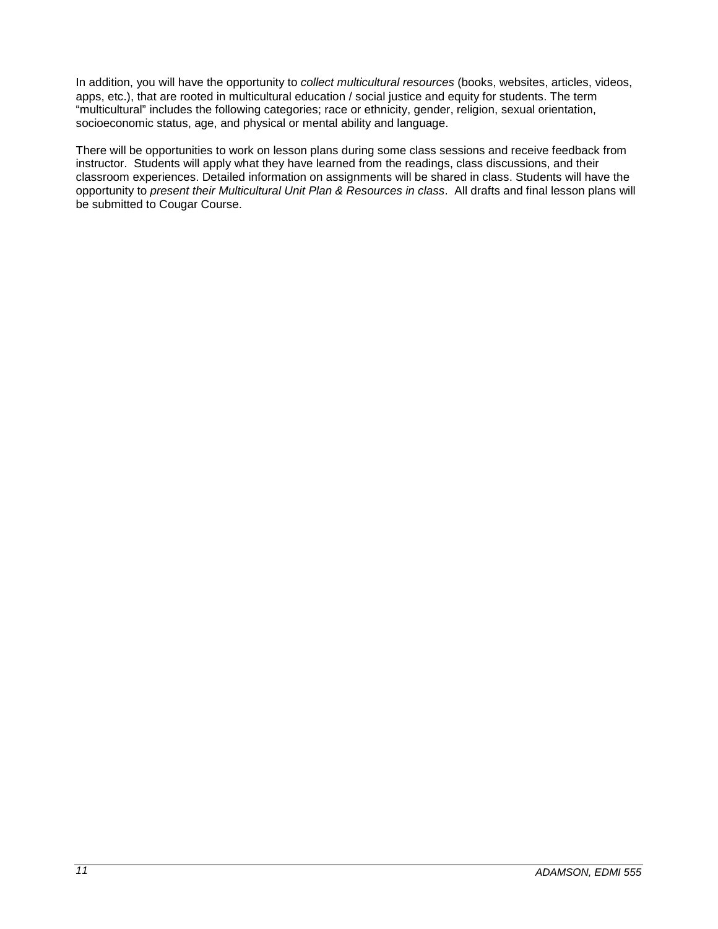In addition, you will have the opportunity to *collect multicultural resources* (books, websites, articles, videos, apps, etc.), that are rooted in multicultural education / social justice and equity for students. The term "multicultural" includes the following categories; race or ethnicity, gender, religion, sexual orientation, socioeconomic status, age, and physical or mental ability and language.

There will be opportunities to work on lesson plans during some class sessions and receive feedback from instructor. Students will apply what they have learned from the readings, class discussions, and their classroom experiences. Detailed information on assignments will be shared in class. Students will have the opportunity to *present their Multicultural Unit Plan & Resources in class*. All drafts and final lesson plans will be submitted to Cougar Course.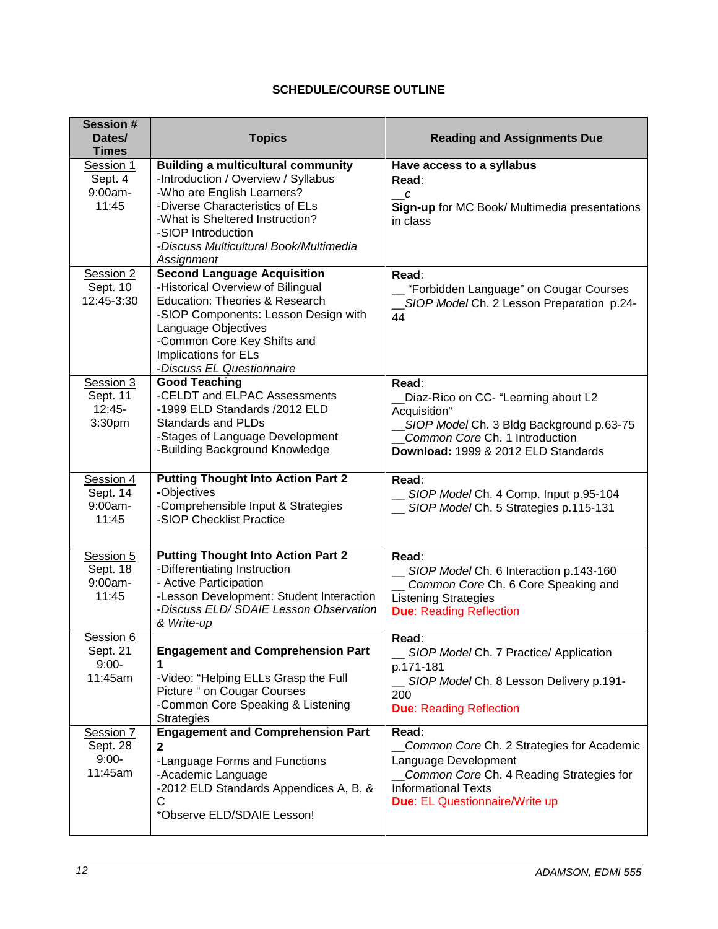# **SCHEDULE/COURSE OUTLINE**

<span id="page-11-0"></span>

| <b>Session#</b><br>Dates/<br><b>Times</b>    | <b>Topics</b>                                                                                                                                                                                                                                                      | <b>Reading and Assignments Due</b>                                                                                                                                                     |
|----------------------------------------------|--------------------------------------------------------------------------------------------------------------------------------------------------------------------------------------------------------------------------------------------------------------------|----------------------------------------------------------------------------------------------------------------------------------------------------------------------------------------|
| Session 1<br>Sept. 4<br>9:00am-<br>11:45     | <b>Building a multicultural community</b><br>-Introduction / Overview / Syllabus<br>-Who are English Learners?<br>-Diverse Characteristics of ELs<br>-What is Sheltered Instruction?<br>-SIOP Introduction<br>-Discuss Multicultural Book/Multimedia<br>Assignment | Have access to a syllabus<br>Read:<br>$\overline{\phantom{a}}^c$<br>Sign-up for MC Book/ Multimedia presentations<br>in class                                                          |
| Session 2<br>Sept. 10<br>12:45-3:30          | <b>Second Language Acquisition</b><br>-Historical Overview of Bilingual<br>Education: Theories & Research<br>-SIOP Components: Lesson Design with<br>Language Objectives<br>-Common Core Key Shifts and<br>Implications for ELs<br>-Discuss EL Questionnaire       | Read:<br>_ "Forbidden Language" on Cougar Courses<br>_SIOP Model Ch. 2 Lesson Preparation p.24-<br>44                                                                                  |
| Session 3<br>Sept. 11<br>$12:45-$<br>3:30pm  | <b>Good Teaching</b><br>-CELDT and ELPAC Assessments<br>-1999 ELD Standards /2012 ELD<br><b>Standards and PLDs</b><br>-Stages of Language Development<br>-Building Background Knowledge                                                                            | Read:<br>Diaz-Rico on CC- "Learning about L2<br>Acquisition"<br>SIOP Model Ch. 3 Bldg Background p.63-75<br>Common Core Ch. 1 Introduction<br>Download: 1999 & 2012 ELD Standards      |
| Session 4<br>Sept. 14<br>$9:00am -$<br>11:45 | <b>Putting Thought Into Action Part 2</b><br>-Objectives<br>-Comprehensible Input & Strategies<br>-SIOP Checklist Practice                                                                                                                                         | Read:<br>__ SIOP Model Ch. 4 Comp. Input p.95-104<br>SIOP Model Ch. 5 Strategies p.115-131                                                                                             |
| Session 5<br>Sept. 18<br>9:00am-<br>11:45    | <b>Putting Thought Into Action Part 2</b><br>-Differentiating Instruction<br>- Active Participation<br>-Lesson Development: Student Interaction<br>-Discuss ELD/ SDAIE Lesson Observation<br>& Write-up                                                            | Read:<br>_ SIOP Model Ch. 6 Interaction p.143-160<br>_ Common Core Ch. 6 Core Speaking and<br><b>Listening Strategies</b><br><b>Due: Reading Reflection</b>                            |
| Session 6<br>Sept. 21<br>$9:00-$<br>11:45am  | <b>Engagement and Comprehension Part</b><br>-Video: "Helping ELLs Grasp the Full<br>Picture " on Cougar Courses<br>-Common Core Speaking & Listening<br><b>Strategies</b>                                                                                          | Read:<br>SIOP Model Ch. 7 Practice/ Application<br>p.171-181<br>_ SIOP Model Ch. 8 Lesson Delivery p.191-<br>200<br><b>Due: Reading Reflection</b>                                     |
| Session 7<br>Sept. 28<br>$9:00-$<br>11:45am  | <b>Engagement and Comprehension Part</b><br>$\mathbf{2}$<br>-Language Forms and Functions<br>-Academic Language<br>-2012 ELD Standards Appendices A, B, &<br>C<br>*Observe ELD/SDAIE Lesson!                                                                       | Read:<br>Common Core Ch. 2 Strategies for Academic<br>Language Development<br>Common Core Ch. 4 Reading Strategies for<br><b>Informational Texts</b><br>Due: EL Questionnaire/Write up |